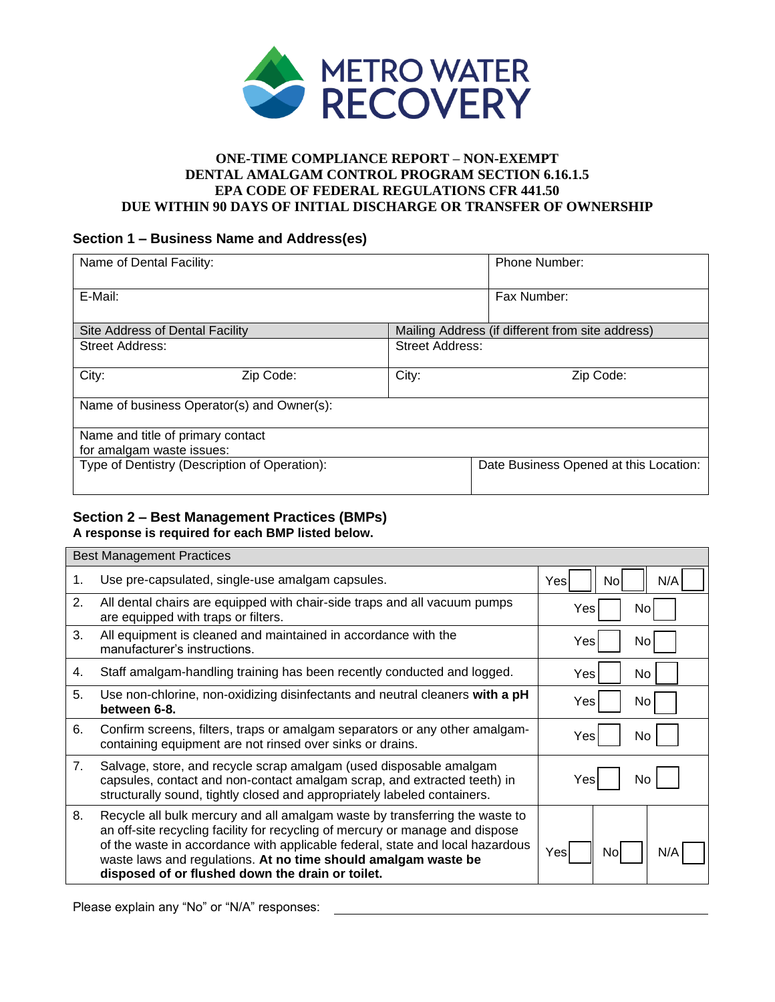

#### **ONE-TIME COMPLIANCE REPORT – NON-EXEMPT DENTAL AMALGAM CONTROL PROGRAM SECTION 6.16.1.5 EPA CODE OF FEDERAL REGULATIONS CFR 441.50 DUE WITHIN 90 DAYS OF INITIAL DISCHARGE OR TRANSFER OF OWNERSHIP**

## **Section 1 – Business Name and Address(es)**

| Name of Dental Facility:                      | Phone Number:                                    |  |  |  |  |  |  |
|-----------------------------------------------|--------------------------------------------------|--|--|--|--|--|--|
| E-Mail:                                       | Fax Number:                                      |  |  |  |  |  |  |
| Site Address of Dental Facility               | Mailing Address (if different from site address) |  |  |  |  |  |  |
| <b>Street Address:</b>                        | <b>Street Address:</b>                           |  |  |  |  |  |  |
| City:<br>Zip Code:                            | City:<br>Zip Code:                               |  |  |  |  |  |  |
| Name of business Operator(s) and Owner(s):    |                                                  |  |  |  |  |  |  |
| Name and title of primary contact             |                                                  |  |  |  |  |  |  |
| for amalgam waste issues:                     |                                                  |  |  |  |  |  |  |
| Type of Dentistry (Description of Operation): | Date Business Opened at this Location:           |  |  |  |  |  |  |

# **Section 2 – Best Management Practices (BMPs)**

**A response is required for each BMP listed below.**

| <b>Best Management Practices</b> |                                                                                                                                                                                                                                                                                                                                                                     |                   |  |  |  |  |  |
|----------------------------------|---------------------------------------------------------------------------------------------------------------------------------------------------------------------------------------------------------------------------------------------------------------------------------------------------------------------------------------------------------------------|-------------------|--|--|--|--|--|
| 1.                               | Use pre-capsulated, single-use amalgam capsules.                                                                                                                                                                                                                                                                                                                    | Yes<br>N/A<br>No  |  |  |  |  |  |
| 2.                               | All dental chairs are equipped with chair-side traps and all vacuum pumps<br>are equipped with traps or filters.                                                                                                                                                                                                                                                    | Yes<br>No         |  |  |  |  |  |
| 3.                               | All equipment is cleaned and maintained in accordance with the<br>manufacturer's instructions.                                                                                                                                                                                                                                                                      | Yes<br>No         |  |  |  |  |  |
| 4.                               | Staff amalgam-handling training has been recently conducted and logged.                                                                                                                                                                                                                                                                                             | Yes<br>No         |  |  |  |  |  |
| 5.                               | Use non-chlorine, non-oxidizing disinfectants and neutral cleaners with a pH<br>between 6-8.                                                                                                                                                                                                                                                                        | Yes<br>No         |  |  |  |  |  |
| 6.                               | Confirm screens, filters, traps or amalgam separators or any other amalgam-<br>containing equipment are not rinsed over sinks or drains.                                                                                                                                                                                                                            | Yes<br>No         |  |  |  |  |  |
| 7.                               | Salvage, store, and recycle scrap amalgam (used disposable amalgam<br>capsules, contact and non-contact amalgam scrap, and extracted teeth) in<br>structurally sound, tightly closed and appropriately labeled containers.                                                                                                                                          | No.<br>Yesl       |  |  |  |  |  |
| 8.                               | Recycle all bulk mercury and all amalgam waste by transferring the waste to<br>an off-site recycling facility for recycling of mercury or manage and dispose<br>of the waste in accordance with applicable federal, state and local hazardous<br>waste laws and regulations. At no time should amalgam waste be<br>disposed of or flushed down the drain or toilet. | Yes<br>N/A<br>Nol |  |  |  |  |  |

Please explain any "No" or "N/A" responses: